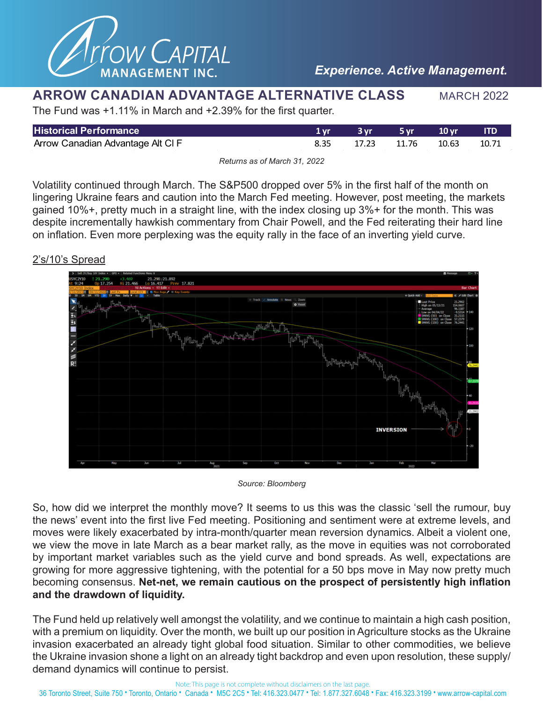

## **ARROW CANADIAN ADVANTAGE ALTERNATIVE CLASS** MARCH 2022

The Fund was +1.11% in March and +2.39% for the first quarter.

| <b>Historical Performance</b>    | 3 vr  | — 5 vr | $\sim 10 \,\mathrm{vr}$ | <b>ITD</b> |
|----------------------------------|-------|--------|-------------------------|------------|
| Arrow Canadian Advantage Alt CIF | 17.23 | 11.76  | 10.63                   | 10.71      |
|                                  |       |        |                         |            |

*Returns as of March 31, 2022*

Volatility continued through March. The S&P500 dropped over 5% in the first half of the month on lingering Ukraine fears and caution into the March Fed meeting. However, post meeting, the markets gained 10%+, pretty much in a straight line, with the index closing up 3%+ for the month. This was despite incrementally hawkish commentary from Chair Powell, and the Fed reiterating their hard line on inflation. Even more perplexing was the equity rally in the face of an inverting yield curve.

## 2's/10's Spread



*Source: Bloomberg*

So, how did we interpret the monthly move? It seems to us this was the classic 'sell the rumour, buy the news' event into the first live Fed meeting. Positioning and sentiment were at extreme levels, and moves were likely exacerbated by intra-month/quarter mean reversion dynamics. Albeit a violent one, we view the move in late March as a bear market rally, as the move in equities was not corroborated by important market variables such as the yield curve and bond spreads. As well, expectations are growing for more aggressive tightening, with the potential for a 50 bps move in May now pretty much becoming consensus. **Net-net, we remain cautious on the prospect of persistently high inflation and the drawdown of liquidity.**

The Fund held up relatively well amongst the volatility, and we continue to maintain a high cash position, with a premium on liquidity. Over the month, we built up our position in Agriculture stocks as the Ukraine invasion exacerbated an already tight global food situation. Similar to other commodities, we believe the Ukraine invasion shone a light on an already tight backdrop and even upon resolution, these supply/ demand dynamics will continue to persist.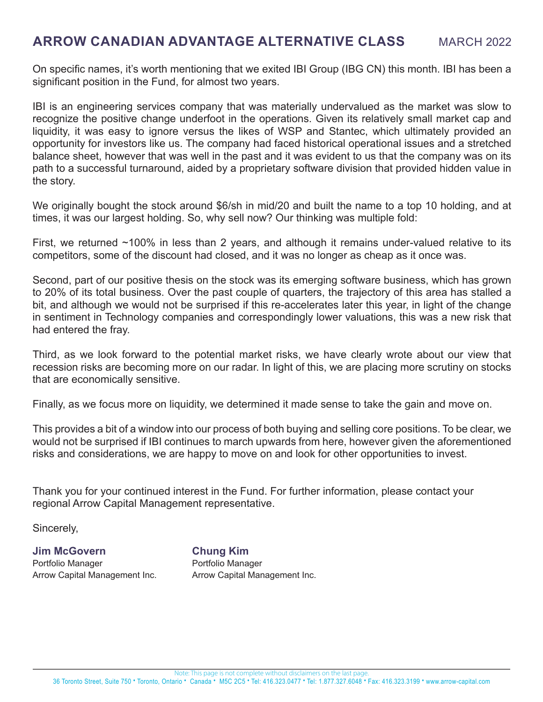## **ARROW CANADIAN ADVANTAGE ALTERNATIVE CLASS MARCH 2022**

On specific names, it's worth mentioning that we exited IBI Group (IBG CN) this month. IBI has been a significant position in the Fund, for almost two years.

IBI is an engineering services company that was materially undervalued as the market was slow to recognize the positive change underfoot in the operations. Given its relatively small market cap and liquidity, it was easy to ignore versus the likes of WSP and Stantec, which ultimately provided an opportunity for investors like us. The company had faced historical operational issues and a stretched balance sheet, however that was well in the past and it was evident to us that the company was on its path to a successful turnaround, aided by a proprietary software division that provided hidden value in the story.

We originally bought the stock around \$6/sh in mid/20 and built the name to a top 10 holding, and at times, it was our largest holding. So, why sell now? Our thinking was multiple fold:

First, we returned ~100% in less than 2 years, and although it remains under-valued relative to its competitors, some of the discount had closed, and it was no longer as cheap as it once was.

Second, part of our positive thesis on the stock was its emerging software business, which has grown to 20% of its total business. Over the past couple of quarters, the trajectory of this area has stalled a bit, and although we would not be surprised if this re-accelerates later this year, in light of the change in sentiment in Technology companies and correspondingly lower valuations, this was a new risk that had entered the fray.

Third, as we look forward to the potential market risks, we have clearly wrote about our view that recession risks are becoming more on our radar. In light of this, we are placing more scrutiny on stocks that are economically sensitive.

Finally, as we focus more on liquidity, we determined it made sense to take the gain and move on.

This provides a bit of a window into our process of both buying and selling core positions. To be clear, we would not be surprised if IBI continues to march upwards from here, however given the aforementioned risks and considerations, we are happy to move on and look for other opportunities to invest.

Thank you for your continued interest in the Fund. For further information, please contact your regional Arrow Capital Management representative.

Sincerely,

**Jim McGovern Chung Kim** Portfolio Manager **Portfolio Manager** 

Arrow Capital Management Inc. **Arrow Capital Management Inc.**